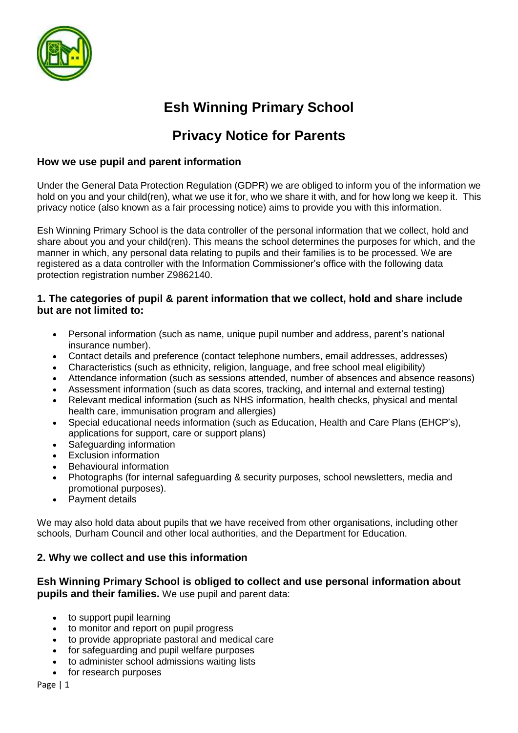

# **Esh Winning Primary School**

## **Privacy Notice for Parents**

## **How we use pupil and parent information**

Under the General Data Protection Regulation (GDPR) we are obliged to inform you of the information we hold on you and your child(ren), what we use it for, who we share it with, and for how long we keep it. This privacy notice (also known as a fair processing notice) aims to provide you with this information.

Esh Winning Primary School is the data controller of the personal information that we collect, hold and share about you and your child(ren). This means the school determines the purposes for which, and the manner in which, any personal data relating to pupils and their families is to be processed. We are registered as a data controller with the Information Commissioner's office with the following data protection registration number Z9862140.

## **1. The categories of pupil & parent information that we collect, hold and share include but are not limited to:**

- Personal information (such as name, unique pupil number and address, parent's national insurance number).
- Contact details and preference (contact telephone numbers, email addresses, addresses)
- Characteristics (such as ethnicity, religion, language, and free school meal eligibility)
- Attendance information (such as sessions attended, number of absences and absence reasons)
- Assessment information (such as data scores, tracking, and internal and external testing)
- Relevant medical information (such as NHS information, health checks, physical and mental health care, immunisation program and allergies)
- Special educational needs information (such as Education, Health and Care Plans (EHCP's), applications for support, care or support plans)
- Safeguarding information
- **Exclusion information**
- Behavioural information
- Photographs (for internal safeguarding & security purposes, school newsletters, media and promotional purposes).
- Payment details

We may also hold data about pupils that we have received from other organisations, including other schools, Durham Council and other local authorities, and the Department for Education.

## **2. Why we collect and use this information**

## **Esh Winning Primary School is obliged to collect and use personal information about pupils and their families.** We use pupil and parent data:

- to support pupil learning
- to monitor and report on pupil progress
- to provide appropriate pastoral and medical care
- for safeguarding and pupil welfare purposes
- to administer school admissions waiting lists
- for research purposes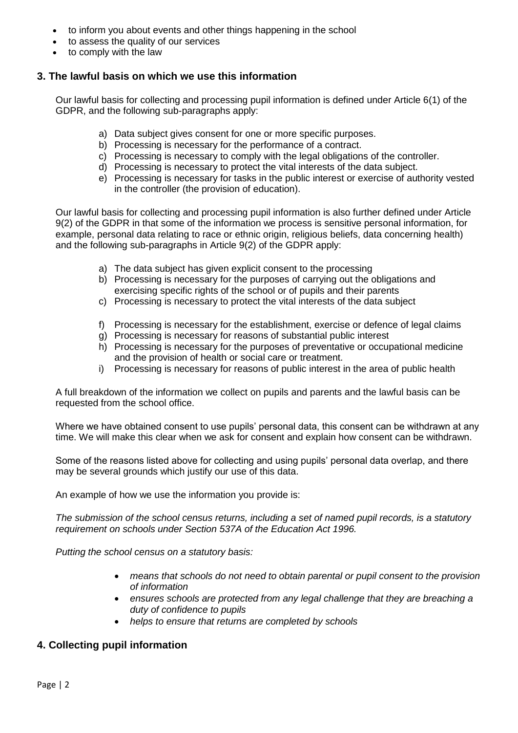- to inform you about events and other things happening in the school
- to assess the quality of our services
- to comply with the law

#### **3. The lawful basis on which we use this information**

Our lawful basis for collecting and processing pupil information is defined under Article 6(1) of the GDPR, and the following sub-paragraphs apply:

- a) Data subject gives consent for one or more specific purposes.
- b) Processing is necessary for the performance of a contract.
- c) Processing is necessary to comply with the legal obligations of the controller.
- d) Processing is necessary to protect the vital interests of the data subject.
- e) Processing is necessary for tasks in the public interest or exercise of authority vested in the controller (the provision of education).

Our lawful basis for collecting and processing pupil information is also further defined under Article 9(2) of the GDPR in that some of the information we process is sensitive personal information, for example, personal data relating to race or ethnic origin, religious beliefs, data concerning health) and the following sub-paragraphs in Article 9(2) of the GDPR apply:

- a) The data subject has given explicit consent to the processing
- b) Processing is necessary for the purposes of carrying out the obligations and exercising specific rights of the school or of pupils and their parents
- c) Processing is necessary to protect the vital interests of the data subject
- f) Processing is necessary for the establishment, exercise or defence of legal claims
- g) Processing is necessary for reasons of substantial public interest
- h) Processing is necessary for the purposes of preventative or occupational medicine and the provision of health or social care or treatment.
- i) Processing is necessary for reasons of public interest in the area of public health

A full breakdown of the information we collect on pupils and parents and the lawful basis can be requested from the school office.

Where we have obtained consent to use pupils' personal data, this consent can be withdrawn at any time. We will make this clear when we ask for consent and explain how consent can be withdrawn.

Some of the reasons listed above for collecting and using pupils' personal data overlap, and there may be several grounds which justify our use of this data.

An example of how we use the information you provide is:

*The submission of the school census returns, including a set of named pupil records, is a statutory requirement on schools under Section 537A of the Education Act 1996.*

*Putting the school census on a statutory basis:*

- *means that schools do not need to obtain parental or pupil consent to the provision of information*
- *ensures schools are protected from any legal challenge that they are breaching a duty of confidence to pupils*
- *helps to ensure that returns are completed by schools*

## **4. Collecting pupil information**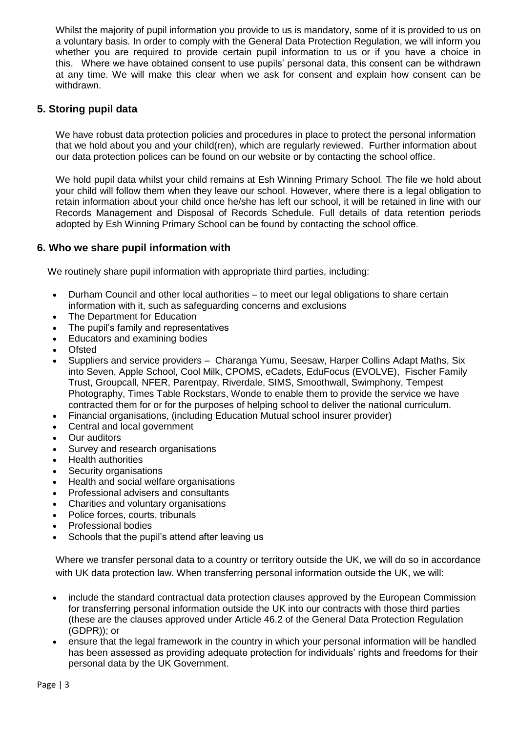Whilst the majority of pupil information you provide to us is mandatory, some of it is provided to us on a voluntary basis. In order to comply with the General Data Protection Regulation, we will inform you whether you are required to provide certain pupil information to us or if you have a choice in this. Where we have obtained consent to use pupils' personal data, this consent can be withdrawn at any time. We will make this clear when we ask for consent and explain how consent can be withdrawn.

## **5. Storing pupil data**

We have robust data protection policies and procedures in place to protect the personal information that we hold about you and your child(ren), which are regularly reviewed. Further information about our data protection polices can be found on our website or by contacting the school office.

We hold pupil data whilst your child remains at Esh Winning Primary School*.* The file we hold about your child will follow them when they leave our school. However, where there is a legal obligation to retain information about your child once he/she has left our school, it will be retained in line with our Records Management and Disposal of Records Schedule. Full details of data retention periods adopted by Esh Winning Primary School can be found by contacting the school office.

## **6. Who we share pupil information with**

We routinely share pupil information with appropriate third parties, including:

- Durham Council and other local authorities to meet our legal obligations to share certain information with it, such as safeguarding concerns and exclusions
- The Department for Education
- The pupil's family and representatives
- Educators and examining bodies
- Ofsted
- Suppliers and service providers Charanga Yumu, Seesaw, Harper Collins Adapt Maths, Six into Seven, Apple School, Cool Milk, CPOMS, eCadets, EduFocus (EVOLVE), Fischer Family Trust, Groupcall, NFER, Parentpay, Riverdale, SIMS, Smoothwall, Swimphony, Tempest Photography, Times Table Rockstars, Wonde to enable them to provide the service we have contracted them for or for the purposes of helping school to deliver the national curriculum.
- Financial organisations, (including Education Mutual school insurer provider)
- Central and local government
- Our auditors
- Survey and research organisations
- Health authorities
- Security organisations
- Health and social welfare organisations
- Professional advisers and consultants
- Charities and voluntary organisations
- Police forces, courts, tribunals
- Professional bodies
- Schools that the pupil's attend after leaving us

Where we transfer personal data to a country or territory outside the UK, we will do so in accordance with UK data protection law. When transferring personal information outside the UK, we will:

- include the standard contractual data protection clauses approved by the European Commission for transferring personal information outside the UK into our contracts with those third parties (these are the clauses approved under Article 46.2 of the General Data Protection Regulation (GDPR)); or
- ensure that the legal framework in the country in which your personal information will be handled has been assessed as providing adequate protection for individuals' rights and freedoms for their personal data by the UK Government.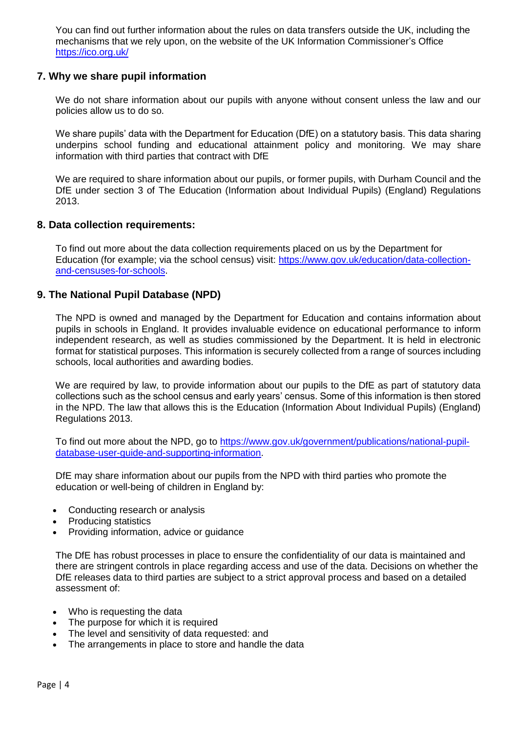You can find out further information about the rules on data transfers outside the UK, including the mechanisms that we rely upon, on the website of the UK Information Commissioner's Office <https://ico.org.uk/>

## **7. Why we share pupil information**

We do not share information about our pupils with anyone without consent unless the law and our policies allow us to do so.

We share pupils' data with the Department for Education (DfE) on a statutory basis. This data sharing underpins school funding and educational attainment policy and monitoring. We may share information with third parties that contract with DfE

We are required to share information about our pupils, or former pupils, with Durham Council and the DfE under section 3 of The Education (Information about Individual Pupils) (England) Regulations 2013.

#### **8. Data collection requirements:**

To find out more about the data collection requirements placed on us by the Department for Education (for example; via the school census) visit: [https://www.gov.uk/education/data-collection](https://www.gov.uk/education/data-collection-and-censuses-for-schools)[and-censuses-for-schools.](https://www.gov.uk/education/data-collection-and-censuses-for-schools)

#### **9. The National Pupil Database (NPD)**

The NPD is owned and managed by the Department for Education and contains information about pupils in schools in England. It provides invaluable evidence on educational performance to inform independent research, as well as studies commissioned by the Department. It is held in electronic format for statistical purposes. This information is securely collected from a range of sources including schools, local authorities and awarding bodies.

We are required by law, to provide information about our pupils to the DfE as part of statutory data collections such as the school census and early years' census. Some of this information is then stored in the NPD. The law that allows this is the Education (Information About Individual Pupils) (England) Regulations 2013.

To find out more about the NPD, go to [https://www.gov.uk/government/publications/national-pupil](https://www.gov.uk/government/publications/national-pupil-database-user-guide-and-supporting-information)[database-user-guide-and-supporting-information.](https://www.gov.uk/government/publications/national-pupil-database-user-guide-and-supporting-information)

DfE may share information about our pupils from the NPD with third parties who promote the education or well-being of children in England by:

- Conducting research or analysis
- Producing statistics
- Providing information, advice or guidance

The DfE has robust processes in place to ensure the confidentiality of our data is maintained and there are stringent controls in place regarding access and use of the data. Decisions on whether the DfE releases data to third parties are subject to a strict approval process and based on a detailed assessment of:

- Who is requesting the data
- The purpose for which it is required
- The level and sensitivity of data requested: and
- The arrangements in place to store and handle the data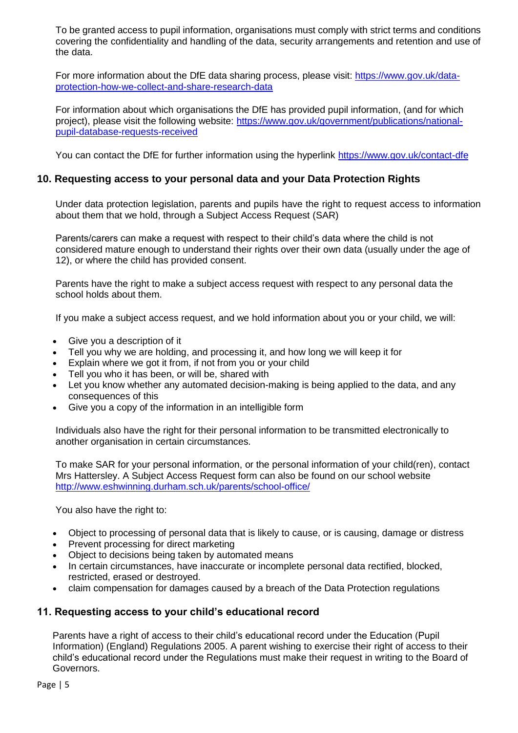To be granted access to pupil information, organisations must comply with strict terms and conditions covering the confidentiality and handling of the data, security arrangements and retention and use of the data.

For more information about the DfE data sharing process, please visit: [https://www.gov.uk/data](https://www.gov.uk/data-protection-how-we-collect-and-share-research-data)[protection-how-we-collect-and-share-research-data](https://www.gov.uk/data-protection-how-we-collect-and-share-research-data)

For information about which organisations the DfE has provided pupil information, (and for which project), please visit the following website: [https://www.gov.uk/government/publications/national](https://www.gov.uk/government/publications/national-pupil-database-requests-received)[pupil-database-requests-received](https://www.gov.uk/government/publications/national-pupil-database-requests-received)

You can contact the DfE for further information using the hyperlink<https://www.gov.uk/contact-dfe>

#### **10. Requesting access to your personal data and your Data Protection Rights**

Under data protection legislation, parents and pupils have the right to request access to information about them that we hold, through a Subject Access Request (SAR)

Parents/carers can make a request with respect to their child's data where the child is not considered mature enough to understand their rights over their own data (usually under the age of 12), or where the child has provided consent.

Parents have the right to make a subject access request with respect to any personal data the school holds about them.

If you make a subject access request, and we hold information about you or your child, we will:

- Give you a description of it
- Tell you why we are holding, and processing it, and how long we will keep it for
- Explain where we got it from, if not from you or your child
- Tell you who it has been, or will be, shared with
- Let you know whether any automated decision-making is being applied to the data, and any consequences of this
- Give you a copy of the information in an intelligible form

Individuals also have the right for their personal information to be transmitted electronically to another organisation in certain circumstances.

To make SAR for your personal information, or the personal information of your child(ren), contact Mrs Hattersley. A Subject Access Request form can also be found on our school website <http://www.eshwinning.durham.sch.uk/parents/school-office/>

You also have the right to:

- Object to processing of personal data that is likely to cause, or is causing, damage or distress
- Prevent processing for direct marketing
- Object to decisions being taken by automated means
- In certain circumstances, have inaccurate or incomplete personal data rectified, blocked, restricted, erased or destroyed.
- claim compensation for damages caused by a breach of the Data Protection regulations

#### **11. Requesting access to your child's educational record**

Parents have a right of access to their child's educational record under the Education (Pupil Information) (England) Regulations 2005. A parent wishing to exercise their right of access to their child's educational record under the Regulations must make their request in writing to the Board of Governors.